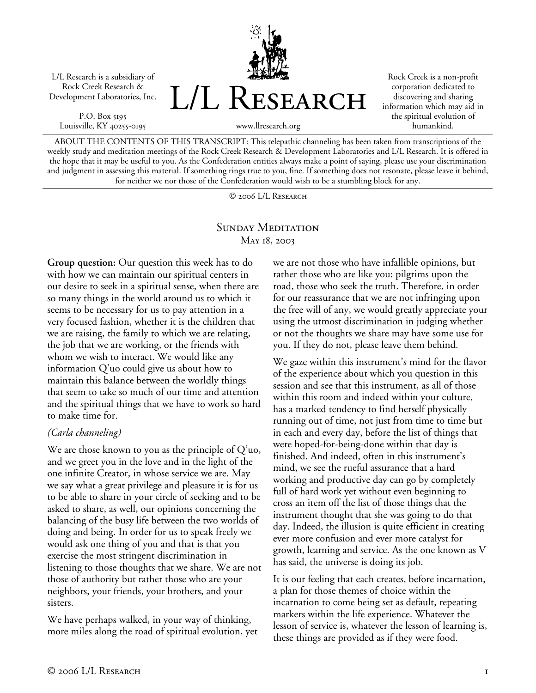L/L Research is a subsidiary of Rock Creek Research & Development Laboratories, Inc.

P.O. Box 5195 Louisville, KY 40255-0195



Rock Creek is a non-profit corporation dedicated to discovering and sharing information which may aid in the spiritual evolution of humankind.

ABOUT THE CONTENTS OF THIS TRANSCRIPT: This telepathic channeling has been taken from transcriptions of the weekly study and meditation meetings of the Rock Creek Research & Development Laboratories and L/L Research. It is offered in the hope that it may be useful to you. As the Confederation entities always make a point of saying, please use your discrimination and judgment in assessing this material. If something rings true to you, fine. If something does not resonate, please leave it behind, for neither we nor those of the Confederation would wish to be a stumbling block for any.

© 2006 L/L Research

### SUNDAY MEDITATION May 18, 2003

**Group question:** Our question this week has to do with how we can maintain our spiritual centers in our desire to seek in a spiritual sense, when there are so many things in the world around us to which it seems to be necessary for us to pay attention in a very focused fashion, whether it is the children that we are raising, the family to which we are relating, the job that we are working, or the friends with whom we wish to interact. We would like any information Q'uo could give us about how to maintain this balance between the worldly things that seem to take so much of our time and attention and the spiritual things that we have to work so hard to make time for.

#### *(Carla channeling)*

We are those known to you as the principle of Q'uo, and we greet you in the love and in the light of the one infinite Creator, in whose service we are. May we say what a great privilege and pleasure it is for us to be able to share in your circle of seeking and to be asked to share, as well, our opinions concerning the balancing of the busy life between the two worlds of doing and being. In order for us to speak freely we would ask one thing of you and that is that you exercise the most stringent discrimination in listening to those thoughts that we share. We are not those of authority but rather those who are your neighbors, your friends, your brothers, and your sisters.

We have perhaps walked, in your way of thinking, more miles along the road of spiritual evolution, yet we are not those who have infallible opinions, but rather those who are like you: pilgrims upon the road, those who seek the truth. Therefore, in order for our reassurance that we are not infringing upon the free will of any, we would greatly appreciate your using the utmost discrimination in judging whether or not the thoughts we share may have some use for you. If they do not, please leave them behind.

We gaze within this instrument's mind for the flavor of the experience about which you question in this session and see that this instrument, as all of those within this room and indeed within your culture, has a marked tendency to find herself physically running out of time, not just from time to time but in each and every day, before the list of things that were hoped-for-being-done within that day is finished. And indeed, often in this instrument's mind, we see the rueful assurance that a hard working and productive day can go by completely full of hard work yet without even beginning to cross an item off the list of those things that the instrument thought that she was going to do that day. Indeed, the illusion is quite efficient in creating ever more confusion and ever more catalyst for growth, learning and service. As the one known as V has said, the universe is doing its job.

It is our feeling that each creates, before incarnation, a plan for those themes of choice within the incarnation to come being set as default, repeating markers within the life experience. Whatever the lesson of service is, whatever the lesson of learning is, these things are provided as if they were food.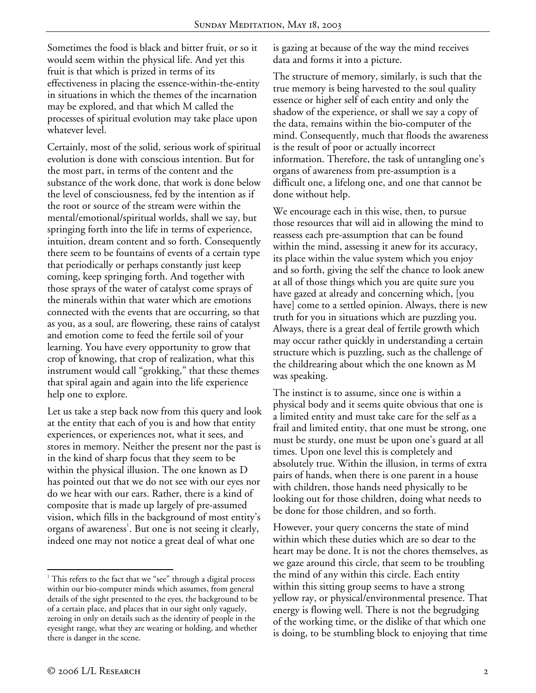Sometimes the food is black and bitter fruit, or so it would seem within the physical life. And yet this fruit is that which is prized in terms of its effectiveness in placing the essence-within-the-entity in situations in which the themes of the incarnation may be explored, and that which M called the processes of spiritual evolution may take place upon whatever level.

Certainly, most of the solid, serious work of spiritual evolution is done with conscious intention. But for the most part, in terms of the content and the substance of the work done, that work is done below the level of consciousness, fed by the intention as if the root or source of the stream were within the mental/emotional/spiritual worlds, shall we say, but springing forth into the life in terms of experience, intuition, dream content and so forth. Consequently there seem to be fountains of events of a certain type that periodically or perhaps constantly just keep coming, keep springing forth. And together with those sprays of the water of catalyst come sprays of the minerals within that water which are emotions connected with the events that are occurring, so that as you, as a soul, are flowering, these rains of catalyst and emotion come to feed the fertile soil of your learning. You have every opportunity to grow that crop of knowing, that crop of realization, what this instrument would call "grokking," that these themes that spiral again and again into the life experience help one to explore.

Let us take a step back now from this query and look at the entity that each of you is and how that entity experiences, or experiences not, what it sees, and stores in memory. Neither the present nor the past is in the kind of sharp focus that they seem to be within the physical illusion. The one known as D has pointed out that we do not see with our eyes nor do we hear with our ears. Rather, there is a kind of composite that is made up largely of pre-assumed vision, which fills in the background of most entity's organs of awareness<sup>1</sup>. But one is not seeing it clearly, indeed one may not notice a great deal of what one

is gazing at because of the way the mind receives data and forms it into a picture.

The structure of memory, similarly, is such that the true memory is being harvested to the soul quality essence or higher self of each entity and only the shadow of the experience, or shall we say a copy of the data, remains within the bio-computer of the mind. Consequently, much that floods the awareness is the result of poor or actually incorrect information. Therefore, the task of untangling one's organs of awareness from pre-assumption is a difficult one, a lifelong one, and one that cannot be done without help.

We encourage each in this wise, then, to pursue those resources that will aid in allowing the mind to reassess each pre-assumption that can be found within the mind, assessing it anew for its accuracy, its place within the value system which you enjoy and so forth, giving the self the chance to look anew at all of those things which you are quite sure you have gazed at already and concerning which, [you have] come to a settled opinion. Always, there is new truth for you in situations which are puzzling you. Always, there is a great deal of fertile growth which may occur rather quickly in understanding a certain structure which is puzzling, such as the challenge of the childrearing about which the one known as M was speaking.

The instinct is to assume, since one is within a physical body and it seems quite obvious that one is a limited entity and must take care for the self as a frail and limited entity, that one must be strong, one must be sturdy, one must be upon one's guard at all times. Upon one level this is completely and absolutely true. Within the illusion, in terms of extra pairs of hands, when there is one parent in a house with children, those hands need physically to be looking out for those children, doing what needs to be done for those children, and so forth.

However, your query concerns the state of mind within which these duties which are so dear to the heart may be done. It is not the chores themselves, as we gaze around this circle, that seem to be troubling the mind of any within this circle. Each entity within this sitting group seems to have a strong yellow ray, or physical/environmental presence. That energy is flowing well. There is not the begrudging of the working time, or the dislike of that which one is doing, to be stumbling block to enjoying that time

 $\overline{a}$ 

<sup>&</sup>lt;sup>1</sup> This refers to the fact that we "see" through a digital process within our bio-computer minds which assumes, from general details of the sight presented to the eyes, the background to be of a certain place, and places that in our sight only vaguely, zeroing in only on details such as the identity of people in the eyesight range, what they are wearing or holding, and whether there is danger in the scene.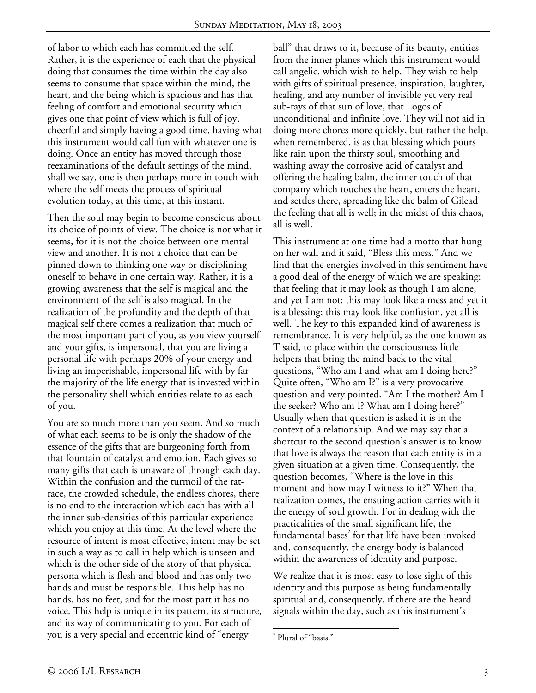of labor to which each has committed the self. Rather, it is the experience of each that the physical doing that consumes the time within the day also seems to consume that space within the mind, the heart, and the being which is spacious and has that feeling of comfort and emotional security which gives one that point of view which is full of joy, cheerful and simply having a good time, having what this instrument would call fun with whatever one is doing. Once an entity has moved through those reexaminations of the default settings of the mind, shall we say, one is then perhaps more in touch with where the self meets the process of spiritual evolution today, at this time, at this instant.

Then the soul may begin to become conscious about its choice of points of view. The choice is not what it seems, for it is not the choice between one mental view and another. It is not a choice that can be pinned down to thinking one way or disciplining oneself to behave in one certain way. Rather, it is a growing awareness that the self is magical and the environment of the self is also magical. In the realization of the profundity and the depth of that magical self there comes a realization that much of the most important part of you, as you view yourself and your gifts, is impersonal, that you are living a personal life with perhaps 20% of your energy and living an imperishable, impersonal life with by far the majority of the life energy that is invested within the personality shell which entities relate to as each of you.

You are so much more than you seem. And so much of what each seems to be is only the shadow of the essence of the gifts that are burgeoning forth from that fountain of catalyst and emotion. Each gives so many gifts that each is unaware of through each day. Within the confusion and the turmoil of the ratrace, the crowded schedule, the endless chores, there is no end to the interaction which each has with all the inner sub-densities of this particular experience which you enjoy at this time. At the level where the resource of intent is most effective, intent may be set in such a way as to call in help which is unseen and which is the other side of the story of that physical persona which is flesh and blood and has only two hands and must be responsible. This help has no hands, has no feet, and for the most part it has no voice. This help is unique in its pattern, its structure, and its way of communicating to you. For each of you is a very special and eccentric kind of "energy

ball" that draws to it, because of its beauty, entities from the inner planes which this instrument would call angelic, which wish to help. They wish to help with gifts of spiritual presence, inspiration, laughter, healing, and any number of invisible yet very real sub-rays of that sun of love, that Logos of unconditional and infinite love. They will not aid in doing more chores more quickly, but rather the help, when remembered, is as that blessing which pours like rain upon the thirsty soul, smoothing and washing away the corrosive acid of catalyst and offering the healing balm, the inner touch of that company which touches the heart, enters the heart, and settles there, spreading like the balm of Gilead the feeling that all is well; in the midst of this chaos, all is well.

This instrument at one time had a motto that hung on her wall and it said, "Bless this mess." And we find that the energies involved in this sentiment have a good deal of the energy of which we are speaking: that feeling that it may look as though I am alone, and yet I am not; this may look like a mess and yet it is a blessing; this may look like confusion, yet all is well. The key to this expanded kind of awareness is remembrance. It is very helpful, as the one known as T said, to place within the consciousness little helpers that bring the mind back to the vital questions, "Who am I and what am I doing here?" Quite often, "Who am I?" is a very provocative question and very pointed. "Am I the mother? Am I the seeker? Who am I? What am I doing here?" Usually when that question is asked it is in the context of a relationship. And we may say that a shortcut to the second question's answer is to know that love is always the reason that each entity is in a given situation at a given time. Consequently, the question becomes, "Where is the love in this moment and how may I witness to it?" When that realization comes, the ensuing action carries with it the energy of soul growth. For in dealing with the practicalities of the small significant life, the fundamental bases $2$  for that life have been invoked and, consequently, the energy body is balanced within the awareness of identity and purpose.

We realize that it is most easy to lose sight of this identity and this purpose as being fundamentally spiritual and, consequently, if there are the heard signals within the day, such as this instrument's

 $\overline{a}$ 

<sup>2</sup> Plural of "basis."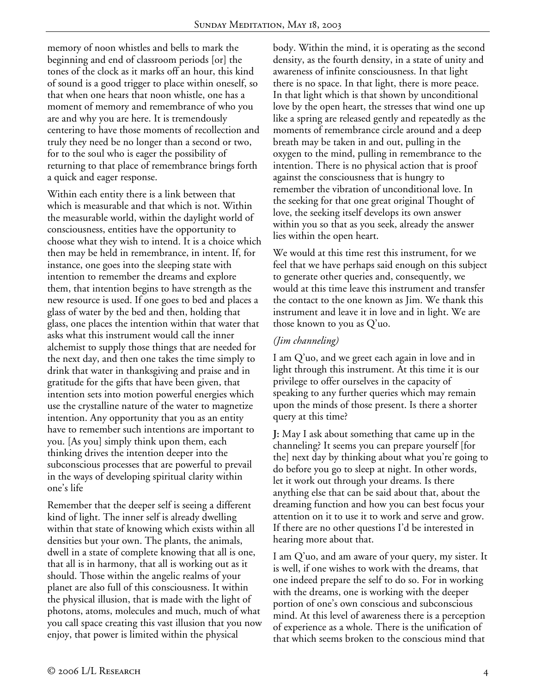memory of noon whistles and bells to mark the beginning and end of classroom periods [or] the tones of the clock as it marks off an hour, this kind of sound is a good trigger to place within oneself, so that when one hears that noon whistle, one has a moment of memory and remembrance of who you are and why you are here. It is tremendously centering to have those moments of recollection and truly they need be no longer than a second or two, for to the soul who is eager the possibility of returning to that place of remembrance brings forth a quick and eager response.

Within each entity there is a link between that which is measurable and that which is not. Within the measurable world, within the daylight world of consciousness, entities have the opportunity to choose what they wish to intend. It is a choice which then may be held in remembrance, in intent. If, for instance, one goes into the sleeping state with intention to remember the dreams and explore them, that intention begins to have strength as the new resource is used. If one goes to bed and places a glass of water by the bed and then, holding that glass, one places the intention within that water that asks what this instrument would call the inner alchemist to supply those things that are needed for the next day, and then one takes the time simply to drink that water in thanksgiving and praise and in gratitude for the gifts that have been given, that intention sets into motion powerful energies which use the crystalline nature of the water to magnetize intention. Any opportunity that you as an entity have to remember such intentions are important to you. [As you] simply think upon them, each thinking drives the intention deeper into the subconscious processes that are powerful to prevail in the ways of developing spiritual clarity within one's life

Remember that the deeper self is seeing a different kind of light. The inner self is already dwelling within that state of knowing which exists within all densities but your own. The plants, the animals, dwell in a state of complete knowing that all is one, that all is in harmony, that all is working out as it should. Those within the angelic realms of your planet are also full of this consciousness. It within the physical illusion, that is made with the light of photons, atoms, molecules and much, much of what you call space creating this vast illusion that you now enjoy, that power is limited within the physical

body. Within the mind, it is operating as the second density, as the fourth density, in a state of unity and awareness of infinite consciousness. In that light there is no space. In that light, there is more peace. In that light which is that shown by unconditional love by the open heart, the stresses that wind one up like a spring are released gently and repeatedly as the moments of remembrance circle around and a deep breath may be taken in and out, pulling in the oxygen to the mind, pulling in remembrance to the intention. There is no physical action that is proof against the consciousness that is hungry to remember the vibration of unconditional love. In the seeking for that one great original Thought of love, the seeking itself develops its own answer within you so that as you seek, already the answer lies within the open heart.

We would at this time rest this instrument, for we feel that we have perhaps said enough on this subject to generate other queries and, consequently, we would at this time leave this instrument and transfer the contact to the one known as Jim. We thank this instrument and leave it in love and in light. We are those known to you as Q'uo.

# *(Jim channeling)*

I am Q'uo, and we greet each again in love and in light through this instrument. At this time it is our privilege to offer ourselves in the capacity of speaking to any further queries which may remain upon the minds of those present. Is there a shorter query at this time?

**J:** May I ask about something that came up in the channeling? It seems you can prepare yourself [for the] next day by thinking about what you're going to do before you go to sleep at night. In other words, let it work out through your dreams. Is there anything else that can be said about that, about the dreaming function and how you can best focus your attention on it to use it to work and serve and grow. If there are no other questions I'd be interested in hearing more about that.

I am Q'uo, and am aware of your query, my sister. It is well, if one wishes to work with the dreams, that one indeed prepare the self to do so. For in working with the dreams, one is working with the deeper portion of one's own conscious and subconscious mind. At this level of awareness there is a perception of experience as a whole. There is the unification of that which seems broken to the conscious mind that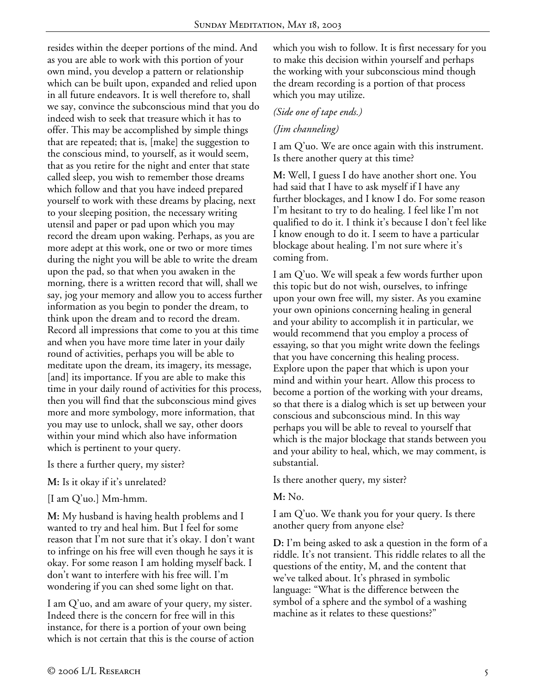resides within the deeper portions of the mind. And as you are able to work with this portion of your own mind, you develop a pattern or relationship which can be built upon, expanded and relied upon in all future endeavors. It is well therefore to, shall we say, convince the subconscious mind that you do indeed wish to seek that treasure which it has to offer. This may be accomplished by simple things that are repeated; that is, [make] the suggestion to the conscious mind, to yourself, as it would seem, that as you retire for the night and enter that state called sleep, you wish to remember those dreams which follow and that you have indeed prepared yourself to work with these dreams by placing, next to your sleeping position, the necessary writing utensil and paper or pad upon which you may record the dream upon waking. Perhaps, as you are more adept at this work, one or two or more times during the night you will be able to write the dream upon the pad, so that when you awaken in the morning, there is a written record that will, shall we say, jog your memory and allow you to access further information as you begin to ponder the dream, to think upon the dream and to record the dream. Record all impressions that come to you at this time and when you have more time later in your daily round of activities, perhaps you will be able to meditate upon the dream, its imagery, its message, [and] its importance. If you are able to make this time in your daily round of activities for this process, then you will find that the subconscious mind gives more and more symbology, more information, that you may use to unlock, shall we say, other doors within your mind which also have information which is pertinent to your query.

Is there a further query, my sister?

**M:** Is it okay if it's unrelated?

[I am Q'uo.] Mm-hmm.

**M:** My husband is having health problems and I wanted to try and heal him. But I feel for some reason that I'm not sure that it's okay. I don't want to infringe on his free will even though he says it is okay. For some reason I am holding myself back. I don't want to interfere with his free will. I'm wondering if you can shed some light on that.

I am Q'uo, and am aware of your query, my sister. Indeed there is the concern for free will in this instance, for there is a portion of your own being which is not certain that this is the course of action which you wish to follow. It is first necessary for you to make this decision within yourself and perhaps the working with your subconscious mind though the dream recording is a portion of that process which you may utilize.

#### *(Side one of tape ends.)*

### *(Jim channeling)*

I am Q'uo. We are once again with this instrument. Is there another query at this time?

**M:** Well, I guess I do have another short one. You had said that I have to ask myself if I have any further blockages, and I know I do. For some reason I'm hesitant to try to do healing. I feel like I'm not qualified to do it. I think it's because I don't feel like I know enough to do it. I seem to have a particular blockage about healing. I'm not sure where it's coming from.

I am Q'uo. We will speak a few words further upon this topic but do not wish, ourselves, to infringe upon your own free will, my sister. As you examine your own opinions concerning healing in general and your ability to accomplish it in particular, we would recommend that you employ a process of essaying, so that you might write down the feelings that you have concerning this healing process. Explore upon the paper that which is upon your mind and within your heart. Allow this process to become a portion of the working with your dreams, so that there is a dialog which is set up between your conscious and subconscious mind. In this way perhaps you will be able to reveal to yourself that which is the major blockage that stands between you and your ability to heal, which, we may comment, is substantial.

Is there another query, my sister?

**M:** No.

I am Q'uo. We thank you for your query. Is there another query from anyone else?

**D:** I'm being asked to ask a question in the form of a riddle. It's not transient. This riddle relates to all the questions of the entity, M, and the content that we've talked about. It's phrased in symbolic language: "What is the difference between the symbol of a sphere and the symbol of a washing machine as it relates to these questions?"